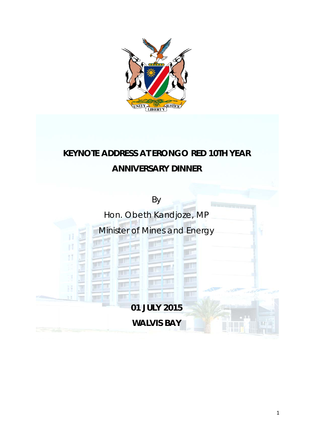

## **KEYNOTE ADDRESS AT ERONGO RED 10TH YEAR ANNIVERSARY DINNER**

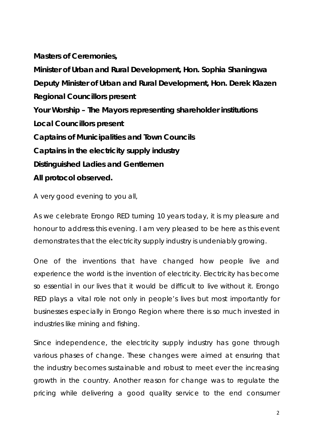**Masters of Ceremonies,**

**Minister of Urban and Rural Development, Hon. Sophia Shaningwa Deputy Minister of Urban and Rural Development, Hon. Derek Klazen Regional Councillors present Your Worship – The Mayors representing shareholder institutions Local Councillors present Captains of Municipalities and Town Councils Captains in the electricity supply industry Distinguished Ladies and Gentlemen All protocol observed.**

A very good evening to you all,

As we celebrate Erongo RED turning 10 years today, it is my pleasure and honour to address this evening. I am very pleased to be here as this event demonstrates that the electricity supply industry is undeniably growing.

One of the inventions that have changed how people live and experience the world is the invention of electricity. Electricity has become so essential in our lives that it would be difficult to live without it. Erongo RED plays a vital role not only in people's lives but most importantly for businesses especially in Erongo Region where there is so much invested in industries like mining and fishing.

Since independence, the electricity supply industry has gone through various phases of change. These changes were aimed at ensuring that the industry becomes sustainable and robust to meet ever the increasing growth in the country. Another reason for change was to regulate the pricing while delivering a good quality service to the end consumer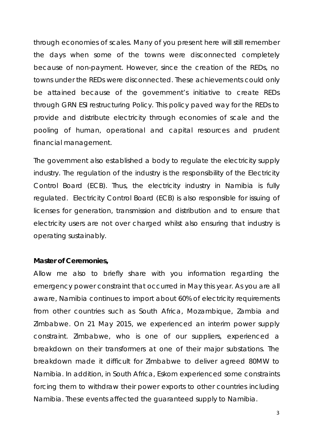through economies of scales. Many of you present here will still remember the days when some of the towns were disconnected completely because of non-payment. However, since the creation of the REDs, no towns under the REDs were disconnected. These achievements could only be attained because of the government's initiative to create REDs through GRN ESI restructuring Policy. This policy paved way for the REDs to provide and distribute electricity through economies of scale and the pooling of human, operational and capital resources and prudent financial management.

The government also established a body to regulate the electricity supply industry. The regulation of the industry is the responsibility of the Electricity Control Board (ECB). Thus, the electricity industry in Namibia is fully regulated. Electricity Control Board (ECB) is also responsible for issuing of licenses for generation, transmission and distribution and to ensure that electricity users are not over charged whilst also ensuring that industry is operating sustainably.

## **Master of Ceremonies,**

Allow me also to briefly share with you information regarding the emergency power constraint that occurred in May this year. As you are all aware, Namibia continues to import about 60% of electricity requirements from other countries such as South Africa, Mozambique, Zambia and Zimbabwe. On 21 May 2015, we experienced an interim power supply constraint. Zimbabwe, who is one of our suppliers, experienced a breakdown on their transformers at one of their major substations. The breakdown made it difficult for Zimbabwe to deliver agreed 80MW to Namibia. In addition, in South Africa, Eskom experienced some constraints forcing them to withdraw their power exports to other countries including Namibia. These events affected the guaranteed supply to Namibia.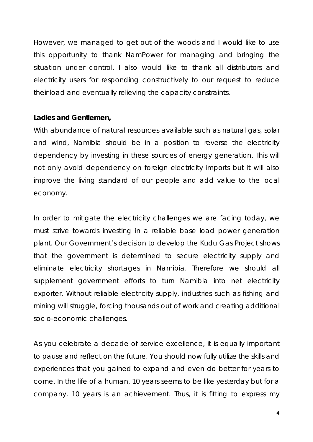However, we managed to get out of the woods and I would like to use this opportunity to thank NamPower for managing and bringing the situation under control. I also would like to thank all distributors and electricity users for responding constructively to our request to reduce their load and eventually relieving the capacity constraints.

## **Ladies and Gentlemen,**

With abundance of natural resources available such as natural gas, solar and wind, Namibia should be in a position to reverse the electricity dependency by investing in these sources of energy generation. This will not only avoid dependency on foreign electricity imports but it will also improve the living standard of our people and add value to the local economy.

In order to mitigate the electricity challenges we are facing today, we must strive towards investing in a reliable base load power generation plant. Our Government's decision to develop the Kudu Gas Project shows that the government is determined to secure electricity supply and eliminate electricity shortages in Namibia. Therefore we should all supplement government efforts to turn Namibia into net electricity exporter. Without reliable electricity supply, industries such as fishing and mining will struggle, forcing thousands out of work and creating additional socio-economic challenges.

As you celebrate a decade of service excellence, it is equally important to pause and reflect on the future. You should now fully utilize the skills and experiences that you gained to expand and even do better for years to come. In the life of a human, 10 years seems to be like yesterday but for a company, 10 years is an achievement. Thus, it is fitting to express my